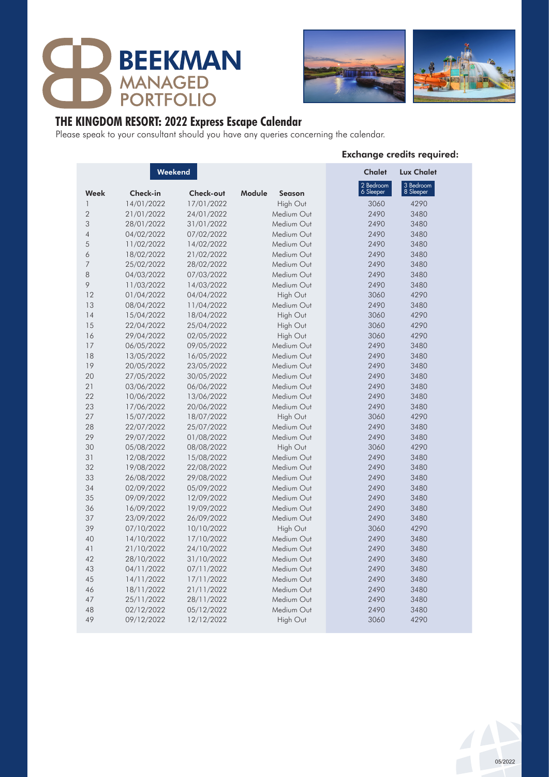



# **THE KINGDOM RESORT: 2022 Express Escape Calendar**

Please speak to your consultant should you have any queries concerning the calendar.

| Weekend        |            |            | <b>Chalet</b>           |                        |                        |  |
|----------------|------------|------------|-------------------------|------------------------|------------------------|--|
| Week           | Check-in   | Check-out  | Module<br><b>Season</b> | 2 Bedroom<br>6 Sleeper | 3 Bedroom<br>8 Sleeper |  |
| $\mathbf{1}$   | 14/01/2022 | 17/01/2022 | High Out                | 3060                   | 4290                   |  |
| $\overline{2}$ | 21/01/2022 | 24/01/2022 | Medium Out              | 2490                   | 3480                   |  |
| 3              | 28/01/2022 | 31/01/2022 | Medium Out              | 2490                   | 3480                   |  |
| $\overline{4}$ | 04/02/2022 | 07/02/2022 | Medium Out              | 2490                   | 3480                   |  |
| 5              | 11/02/2022 | 14/02/2022 | Medium Out              | 2490                   | 3480                   |  |
| 6              | 18/02/2022 | 21/02/2022 | Medium Out              | 2490                   | 3480                   |  |
| $\overline{7}$ | 25/02/2022 | 28/02/2022 | Medium Out              | 2490                   | 3480                   |  |
| 8              | 04/03/2022 | 07/03/2022 | Medium Out              | 2490                   | 3480                   |  |
| 9              |            |            | Medium Out              | 2490                   | 3480                   |  |
| 12             | 11/03/2022 | 14/03/2022 |                         |                        | 4290                   |  |
| 13             | 01/04/2022 | 04/04/2022 | High Out<br>Medium Out  | 3060<br>2490           | 3480                   |  |
| 14             | 08/04/2022 | 11/04/2022 |                         | 3060                   | 4290                   |  |
| 15             | 15/04/2022 | 18/04/2022 | High Out                |                        |                        |  |
|                | 22/04/2022 | 25/04/2022 | High Out                | 3060                   | 4290                   |  |
| 16             | 29/04/2022 | 02/05/2022 | High Out                | 3060                   | 4290                   |  |
| 17             | 06/05/2022 | 09/05/2022 | Medium Out              | 2490                   | 3480                   |  |
| 18             | 13/05/2022 | 16/05/2022 | Medium Out              | 2490                   | 3480                   |  |
| 19             | 20/05/2022 | 23/05/2022 | Medium Out              | 2490                   | 3480                   |  |
| 20             | 27/05/2022 | 30/05/2022 | Medium Out              | 2490                   | 3480                   |  |
| 21             | 03/06/2022 | 06/06/2022 | Medium Out              | 2490                   | 3480                   |  |
| 22             | 10/06/2022 | 13/06/2022 | Medium Out              | 2490                   | 3480                   |  |
| 23             | 17/06/2022 | 20/06/2022 | Medium Out              | 2490                   | 3480                   |  |
| 27             | 15/07/2022 | 18/07/2022 | High Out                | 3060                   | 4290                   |  |
| 28             | 22/07/2022 | 25/07/2022 | Medium Out              | 2490                   | 3480                   |  |
| 29             | 29/07/2022 | 01/08/2022 | Medium Out              | 2490                   | 3480                   |  |
| 30             | 05/08/2022 | 08/08/2022 | High Out                | 3060                   | 4290                   |  |
| 31             | 12/08/2022 | 15/08/2022 | Medium Out              | 2490                   | 3480                   |  |
| 32             | 19/08/2022 | 22/08/2022 | Medium Out              | 2490                   | 3480                   |  |
| 33             | 26/08/2022 | 29/08/2022 | Medium Out              | 2490                   | 3480                   |  |
| 34             | 02/09/2022 | 05/09/2022 | Medium Out              | 2490                   | 3480                   |  |
| 35             | 09/09/2022 | 12/09/2022 | Medium Out              | 2490                   | 3480                   |  |
| 36             | 16/09/2022 | 19/09/2022 | Medium Out              | 2490                   | 3480                   |  |
| 37             | 23/09/2022 | 26/09/2022 | Medium Out              | 2490                   | 3480                   |  |
| 39             | 07/10/2022 | 10/10/2022 | High Out                | 3060                   | 4290                   |  |
| 40             | 14/10/2022 | 17/10/2022 | Medium Out              | 2490                   | 3480                   |  |
| 41             | 21/10/2022 | 24/10/2022 | Medium Out              | 2490                   | 3480                   |  |
| 42             | 28/10/2022 | 31/10/2022 | Medium Out              | 2490                   | 3480                   |  |
| 43             | 04/11/2022 | 07/11/2022 | Medium Out              | 2490                   | 3480                   |  |
| 45             | 14/11/2022 | 17/11/2022 | Medium Out              | 2490                   | 3480                   |  |
| 46             | 18/11/2022 | 21/11/2022 | Medium Out              | 2490                   | 3480                   |  |
| 47             | 25/11/2022 | 28/11/2022 | Medium Out              | 2490                   | 3480                   |  |
| 48             | 02/12/2022 | 05/12/2022 | Medium Out              | 2490                   | 3480                   |  |
| 49             | 09/12/2022 | 12/12/2022 | High Out                | 3060                   | 4290                   |  |

### Exchange credits required:

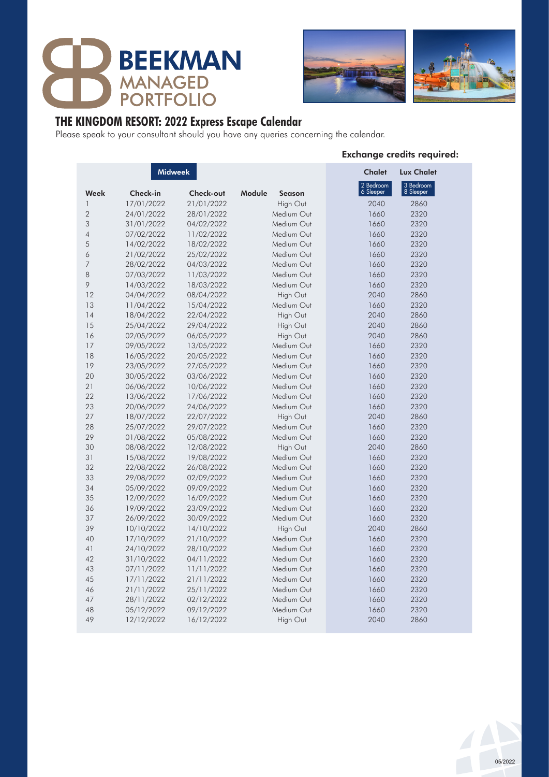



# **THE KINGDOM RESORT: 2022 Express Escape Calendar**

Please speak to your consultant should you have any queries concerning the calendar.

| <b>Midweek</b> |            |            |                         | <b>Chalet</b>          | <b>Lux Chalet</b>      |  |
|----------------|------------|------------|-------------------------|------------------------|------------------------|--|
| Week           | Check-in   | Check-out  | Module<br><b>Season</b> | 2 Bedroom<br>6 Sleeper | 3 Bedroom<br>8 Sleeper |  |
| 1              | 17/01/2022 | 21/01/2022 | High Out                | 2040                   | 2860                   |  |
| $\overline{2}$ | 24/01/2022 | 28/01/2022 | Medium Out              | 1660                   | 2320                   |  |
| 3              | 31/01/2022 | 04/02/2022 | Medium Out              | 1660                   | 2320                   |  |
| $\overline{4}$ | 07/02/2022 | 11/02/2022 | Medium Out              | 1660                   | 2320                   |  |
| 5              | 14/02/2022 | 18/02/2022 | Medium Out              | 1660                   | 2320                   |  |
| 6              | 21/02/2022 | 25/02/2022 | Medium Out              | 1660                   | 2320                   |  |
| 7              | 28/02/2022 | 04/03/2022 | Medium Out              | 1660                   | 2320                   |  |
| 8              | 07/03/2022 | 11/03/2022 | Medium Out              | 1660                   | 2320                   |  |
| 9              | 14/03/2022 | 18/03/2022 | Medium Out              | 1660                   | 2320                   |  |
| 12             | 04/04/2022 | 08/04/2022 | High Out                | 2040                   | 2860                   |  |
| 13             | 11/04/2022 | 15/04/2022 | Medium Out              | 1660                   | 2320                   |  |
| 14             | 18/04/2022 | 22/04/2022 | High Out                | 2040                   | 2860                   |  |
| 15             | 25/04/2022 | 29/04/2022 | High Out                | 2040                   | 2860                   |  |
| 16             | 02/05/2022 | 06/05/2022 | High Out                | 2040                   | 2860                   |  |
| 17             | 09/05/2022 | 13/05/2022 | Medium Out              | 1660                   | 2320                   |  |
| 18             | 16/05/2022 | 20/05/2022 | Medium Out              | 1660                   | 2320                   |  |
| 19             | 23/05/2022 | 27/05/2022 | Medium Out              | 1660                   | 2320                   |  |
| 20             | 30/05/2022 | 03/06/2022 | Medium Out              | 1660                   | 2320                   |  |
| 21             | 06/06/2022 | 10/06/2022 | Medium Out              | 1660                   | 2320                   |  |
| 22             | 13/06/2022 | 17/06/2022 | Medium Out              | 1660                   | 2320                   |  |
| 23             | 20/06/2022 | 24/06/2022 | Medium Out              | 1660                   | 2320                   |  |
| 27             | 18/07/2022 | 22/07/2022 | High Out                | 2040                   | 2860                   |  |
| 28             | 25/07/2022 | 29/07/2022 | Medium Out              | 1660                   | 2320                   |  |
| 29             | 01/08/2022 | 05/08/2022 | Medium Out              | 1660                   | 2320                   |  |
| 30             | 08/08/2022 | 12/08/2022 | High Out                | 2040                   | 2860                   |  |
| 31             | 15/08/2022 | 19/08/2022 | Medium Out              | 1660                   | 2320                   |  |
| 32             | 22/08/2022 | 26/08/2022 | Medium Out              | 1660                   | 2320                   |  |
| 33             | 29/08/2022 | 02/09/2022 | Medium Out              | 1660                   | 2320                   |  |
| 34             | 05/09/2022 | 09/09/2022 | Medium Out              | 1660                   | 2320                   |  |
| 35             | 12/09/2022 | 16/09/2022 | Medium Out              | 1660                   | 2320                   |  |
| 36             | 19/09/2022 | 23/09/2022 | Medium Out              | 1660                   | 2320                   |  |
| 37             | 26/09/2022 | 30/09/2022 | Medium Out              | 1660                   | 2320                   |  |
| 39             | 10/10/2022 | 14/10/2022 | High Out                | 2040                   | 2860                   |  |
| 40             | 17/10/2022 | 21/10/2022 | Medium Out              | 1660                   | 2320                   |  |
| 41             | 24/10/2022 | 28/10/2022 | Medium Out              | 1660                   | 2320                   |  |
| 42             | 31/10/2022 | 04/11/2022 | Medium Out              | 1660                   | 2320                   |  |
| 43             | 07/11/2022 | 11/11/2022 | Medium Out              | 1660                   | 2320                   |  |
| 45             | 17/11/2022 | 21/11/2022 | Medium Out              | 1660                   | 2320                   |  |
| 46             | 21/11/2022 | 25/11/2022 | Medium Out              | 1660                   | 2320                   |  |
| 47             | 28/11/2022 | 02/12/2022 | Medium Out              | 1660                   | 2320                   |  |
| 48             | 05/12/2022 | 09/12/2022 | Medium Out              | 1660                   | 2320                   |  |
| 49             | 12/12/2022 | 16/12/2022 | High Out                | 2040                   | 2860                   |  |

### Exchange credits required: